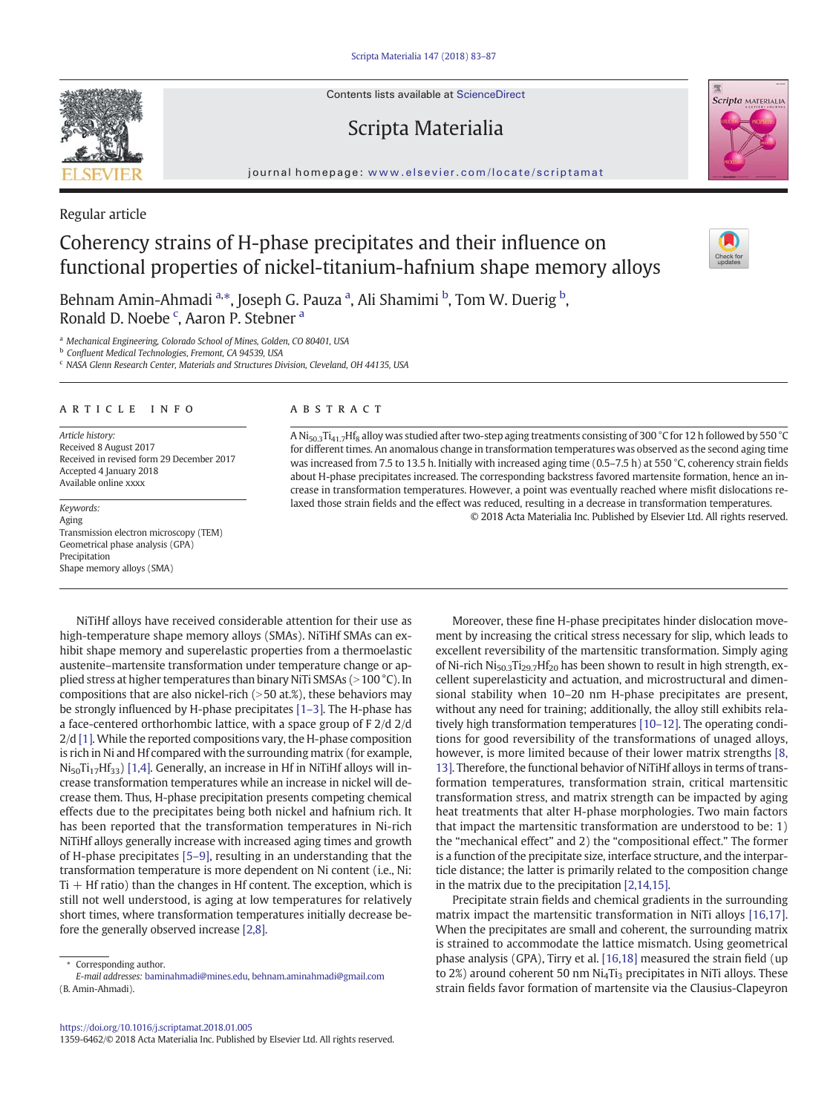Contents lists available at ScienceDirect

## Scripta Materialia

journal homepage: <www.elsevier.com/locate/scriptamat>

## Regular article

# Coherency strains of H-phase precipitates and their influence on functional properties of nickel-titanium-hafnium shape memory alloys

Behnam Amin-Ahmadi <sup>a,\*</sup>, Joseph G. Pauza <sup>a</sup>, Ali Shamimi <sup>b</sup>, Tom W. Duerig <sup>b</sup>, Ronald D. Noebe<sup>c</sup>, Aaron P. Stebner<sup>a</sup>

<sup>a</sup> Mechanical Engineering, Colorado School of Mines, Golden, CO 80401, USA

<sup>b</sup> Confluent Medical Technologies, Fremont, CA 94539, USA

<sup>c</sup> NASA Glenn Research Center, Materials and Structures Division, Cleveland, OH 44135, USA

### article info abstract

Article history: Received 8 August 2017 Received in revised form 29 December 2017 Accepted 4 January 2018 Available online xxxx

Aging Transmission electron microscopy (TEM) Geometrical phase analysis (GPA) Precipitation Shape memory alloys (SMA)

A Ni<sub>50.3</sub>Ti<sub>41.7</sub>Hf<sub>8</sub> alloy was studied after two-step aging treatments consisting of 300 °C for 12 h followed by 550 °C for different times. An anomalous change in transformation temperatures was observed as the second aging time was increased from 7.5 to 13.5 h. Initially with increased aging time (0.5–7.5 h) at 550 °C, coherency strain fields about H-phase precipitates increased. The corresponding backstress favored martensite formation, hence an increase in transformation temperatures. However, a point was eventually reached where misfit dislocations relaxed those strain fields and the effect was reduced, resulting in a decrease in transformation temperatures. © 2018 Acta Materialia Inc. Published by Elsevier Ltd. All rights reserved. Keywords:

NiTiHf alloys have received considerable attention for their use as high-temperature shape memory alloys (SMAs). NiTiHf SMAs can exhibit shape memory and superelastic properties from a thermoelastic austenite–martensite transformation under temperature change or applied stress at higher temperatures than binary NiTi SMSAs (>100 °C). In compositions that are also nickel-rich  $(>50$  at.%), these behaviors may be strongly influenced by H-phase precipitates [\[1](#page-3-0)–3]. The H-phase has a face-centered orthorhombic lattice, with a space group of F 2/d 2/d 2/d [\[1\].](#page-3-0) While the reported compositions vary, the H-phase composition is rich in Ni and Hf compared with the surrounding matrix (for example,  $Ni_{50}Ti_{17}Hf_{33}$  [\[1,4\]](#page-3-0). Generally, an increase in Hf in NiTiHf alloys will increase transformation temperatures while an increase in nickel will decrease them. Thus, H-phase precipitation presents competing chemical effects due to the precipitates being both nickel and hafnium rich. It has been reported that the transformation temperatures in Ni-rich NiTiHf alloys generally increase with increased aging times and growth of H-phase precipitates [\[5](#page-3-0)–9], resulting in an understanding that the transformation temperature is more dependent on Ni content (i.e., Ni:  $Ti + Hf$  ratio) than the changes in H $f$  content. The exception, which is still not well understood, is aging at low temperatures for relatively short times, where transformation temperatures initially decrease before the generally observed increase [\[2,8\].](#page-3-0)

Corresponding author.

1359-6462/© 2018 Acta Materialia Inc. Published by Elsevier Ltd. All rights reserved.

Moreover, these fine H-phase precipitates hinder dislocation movement by increasing the critical stress necessary for slip, which leads to excellent reversibility of the martensitic transformation. Simply aging of Ni-rich Ni<sub>50.3</sub>Ti<sub>29.7</sub>Hf<sub>20</sub> has been shown to result in high strength, excellent superelasticity and actuation, and microstructural and dimensional stability when 10–20 nm H-phase precipitates are present, without any need for training; additionally, the alloy still exhibits relatively high transformation temperatures [\[10](#page-3-0)–12]. The operating conditions for good reversibility of the transformations of unaged alloys, however, is more limited because of their lower matrix strengths [\[8,](#page-3-0) [13\]](#page-3-0). Therefore, the functional behavior of NiTiHf alloys in terms of transformation temperatures, transformation strain, critical martensitic transformation stress, and matrix strength can be impacted by aging heat treatments that alter H-phase morphologies. Two main factors that impact the martensitic transformation are understood to be: 1) the "mechanical effect" and 2) the "compositional effect." The former is a function of the precipitate size, interface structure, and the interparticle distance; the latter is primarily related to the composition change in the matrix due to the precipitation [\[2,14,15\]](#page-3-0).

Precipitate strain fields and chemical gradients in the surrounding matrix impact the martensitic transformation in NiTi alloys [\[16,17\].](#page-4-0) When the precipitates are small and coherent, the surrounding matrix is strained to accommodate the lattice mismatch. Using geometrical phase analysis (GPA), Tirry et al. [\[16,18\]](#page-4-0) measured the strain field (up to 2%) around coherent 50 nm  $Ni<sub>4</sub>Ti<sub>3</sub>$  precipitates in NiTi alloys. These strain fields favor formation of martensite via the Clausius-Clapeyron









E-mail addresses: baminahmadi@mines.edu, [behnam.aminahmadi@gmail.com](mailto:behnam.aminahmadi@gmail.com) (B. Amin-Ahmadi).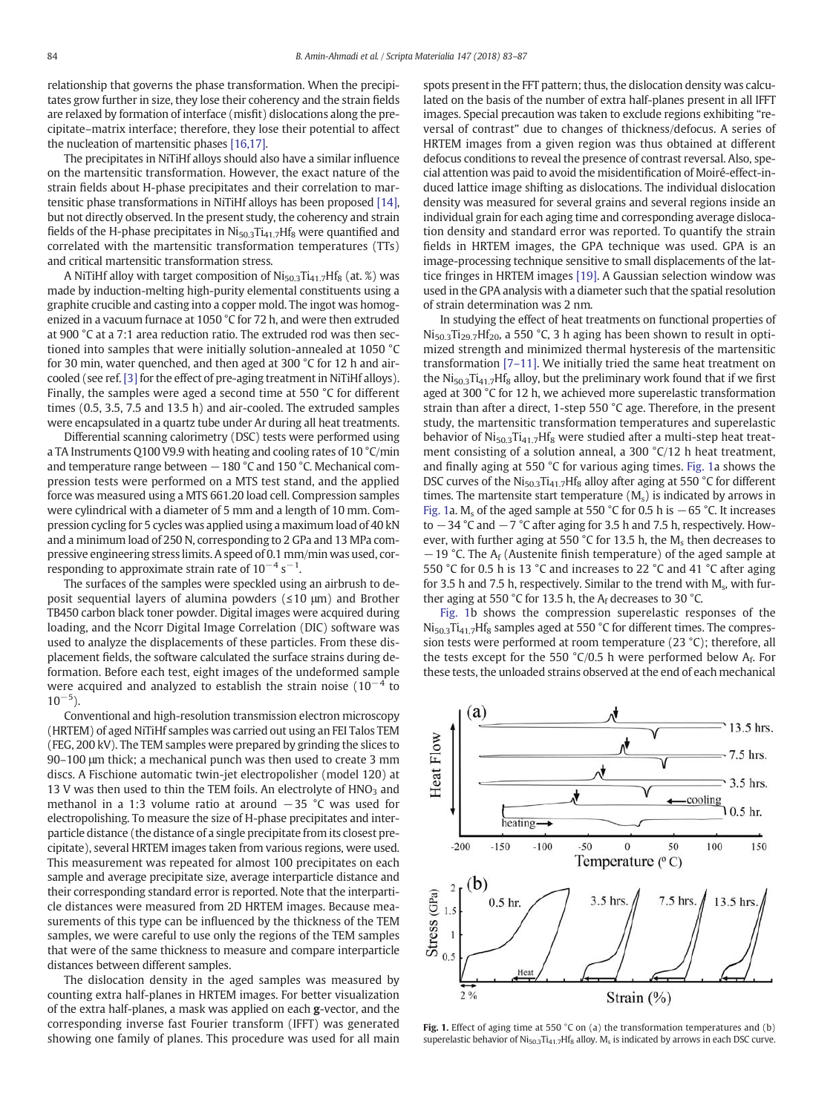<span id="page-1-0"></span>relationship that governs the phase transformation. When the precipitates grow further in size, they lose their coherency and the strain fields are relaxed by formation of interface (misfit) dislocations along the precipitate–matrix interface; therefore, they lose their potential to affect the nucleation of martensitic phases [\[16,17\]](#page-4-0).

The precipitates in NiTiHf alloys should also have a similar influence on the martensitic transformation. However, the exact nature of the strain fields about H-phase precipitates and their correlation to martensitic phase transformations in NiTiHf alloys has been proposed [\[14\],](#page-4-0) but not directly observed. In the present study, the coherency and strain fields of the H-phase precipitates in  $Ni<sub>50.3</sub>Ti<sub>41.7</sub>Hf<sub>8</sub>$  were quantified and correlated with the martensitic transformation temperatures (TTs) and critical martensitic transformation stress.

A NiTiHf alloy with target composition of  $N$ i<sub>50.3</sub>Ti<sub>41.7</sub>Hf<sub>8</sub> (at. %) was made by induction-melting high-purity elemental constituents using a graphite crucible and casting into a copper mold. The ingot was homogenized in a vacuum furnace at 1050 °C for 72 h, and were then extruded at 900 °C at a 7:1 area reduction ratio. The extruded rod was then sectioned into samples that were initially solution-annealed at 1050 °C for 30 min, water quenched, and then aged at 300 °C for 12 h and air-cooled (see ref. [\[3\]](#page-3-0) for the effect of pre-aging treatment in NiTiHf alloys). Finally, the samples were aged a second time at 550 °C for different times (0.5, 3.5, 7.5 and 13.5 h) and air-cooled. The extruded samples were encapsulated in a quartz tube under Ar during all heat treatments.

Differential scanning calorimetry (DSC) tests were performed using a TA Instruments Q100 V9.9 with heating and cooling rates of 10 °C/min and temperature range between −180 °C and 150 °C. Mechanical compression tests were performed on a MTS test stand, and the applied force was measured using a MTS 661.20 load cell. Compression samples were cylindrical with a diameter of 5 mm and a length of 10 mm. Compression cycling for 5 cycles was applied using a maximum load of 40 kN and a minimum load of 250 N, corresponding to 2 GPa and 13 MPa compressive engineering stress limits. A speed of 0.1 mm/min was used, corresponding to approximate strain rate of  $10^{-4}$  s<sup>-1</sup>.

The surfaces of the samples were speckled using an airbrush to deposit sequential layers of alumina powders (≤10 μm) and Brother TB450 carbon black toner powder. Digital images were acquired during loading, and the Ncorr Digital Image Correlation (DIC) software was used to analyze the displacements of these particles. From these displacement fields, the software calculated the surface strains during deformation. Before each test, eight images of the undeformed sample were acquired and analyzed to establish the strain noise  $(10^{-4}$  to  $10^{-5}$ ).

Conventional and high-resolution transmission electron microscopy (HRTEM) of aged NiTiHf samples was carried out using an FEI Talos TEM (FEG, 200 kV). The TEM samples were prepared by grinding the slices to 90–100 μm thick; a mechanical punch was then used to create 3 mm discs. A Fischione automatic twin-jet electropolisher (model 120) at 13 V was then used to thin the TEM foils. An electrolyte of  $HNO<sub>3</sub>$  and methanol in a 1:3 volume ratio at around −35 °C was used for electropolishing. To measure the size of H-phase precipitates and interparticle distance (the distance of a single precipitate from its closest precipitate), several HRTEM images taken from various regions, were used. This measurement was repeated for almost 100 precipitates on each sample and average precipitate size, average interparticle distance and their corresponding standard error is reported. Note that the interparticle distances were measured from 2D HRTEM images. Because measurements of this type can be influenced by the thickness of the TEM samples, we were careful to use only the regions of the TEM samples that were of the same thickness to measure and compare interparticle distances between different samples.

The dislocation density in the aged samples was measured by counting extra half-planes in HRTEM images. For better visualization of the extra half-planes, a mask was applied on each g-vector, and the corresponding inverse fast Fourier transform (IFFT) was generated showing one family of planes. This procedure was used for all main spots present in the FFT pattern; thus, the dislocation density was calculated on the basis of the number of extra half-planes present in all IFFT images. Special precaution was taken to exclude regions exhibiting "reversal of contrast" due to changes of thickness/defocus. A series of HRTEM images from a given region was thus obtained at different defocus conditions to reveal the presence of contrast reversal. Also, special attention was paid to avoid the misidentification of Moiré-effect-induced lattice image shifting as dislocations. The individual dislocation density was measured for several grains and several regions inside an individual grain for each aging time and corresponding average dislocation density and standard error was reported. To quantify the strain fields in HRTEM images, the GPA technique was used. GPA is an image-processing technique sensitive to small displacements of the lattice fringes in HRTEM images [\[19\]](#page-4-0). A Gaussian selection window was used in the GPA analysis with a diameter such that the spatial resolution of strain determination was 2 nm.

In studying the effect of heat treatments on functional properties of  $Ni_{50.3}Ti_{29.7}Hf_{20}$ , a 550 °C, 3 h aging has been shown to result in optimized strength and minimized thermal hysteresis of the martensitic transformation [7–[11\].](#page-3-0) We initially tried the same heat treatment on the  $N$ i<sub>50.3</sub>Ti<sub>41.7</sub>Hf<sub>8</sub> alloy, but the preliminary work found that if we first aged at 300 °C for 12 h, we achieved more superelastic transformation strain than after a direct, 1-step 550 °C age. Therefore, in the present study, the martensitic transformation temperatures and superelastic behavior of  $Ni<sub>50.3</sub>Ti<sub>41.7</sub>Hf<sub>8</sub>$  were studied after a multi-step heat treatment consisting of a solution anneal, a 300 °C/12 h heat treatment, and finally aging at 550 °C for various aging times. Fig. 1a shows the DSC curves of the  $\text{Ni}_{50.3}\text{Ti}_{41.7}\text{H}_{8}$  alloy after aging at 550 °C for different times. The martensite start temperature  $(M_s)$  is indicated by arrows in Fig. 1a. M<sub>s</sub> of the aged sample at 550 °C for 0.5 h is  $-65$  °C. It increases to  $-34$  °C and  $-7$  °C after aging for 3.5 h and 7.5 h, respectively. However, with further aging at 550  $^{\circ}$ C for 13.5 h, the M<sub>s</sub> then decreases to  $-19$  °C. The A<sub>f</sub> (Austenite finish temperature) of the aged sample at 550 °C for 0.5 h is 13 °C and increases to 22 °C and 41 °C after aging for 3.5 h and 7.5 h, respectively. Similar to the trend with  $M_s$ , with further aging at 550 °C for 13.5 h, the  $A_f$  decreases to 30 °C.

Fig. 1b shows the compression superelastic responses of the  $Ni<sub>50.3</sub>Ti<sub>41.7</sub>Hf<sub>8</sub>$  samples aged at 550 °C for different times. The compression tests were performed at room temperature (23 °C); therefore, all the tests except for the 550  $°C/0.5$  h were performed below A<sub>f</sub>. For these tests, the unloaded strains observed at the end of each mechanical



Fig. 1. Effect of aging time at 550 °C on (a) the transformation temperatures and (b) superelastic behavior of  $Ni_{50.3}Ti_{41.7}Hf_8$  alloy.  $M_s$  is indicated by arrows in each DSC curve.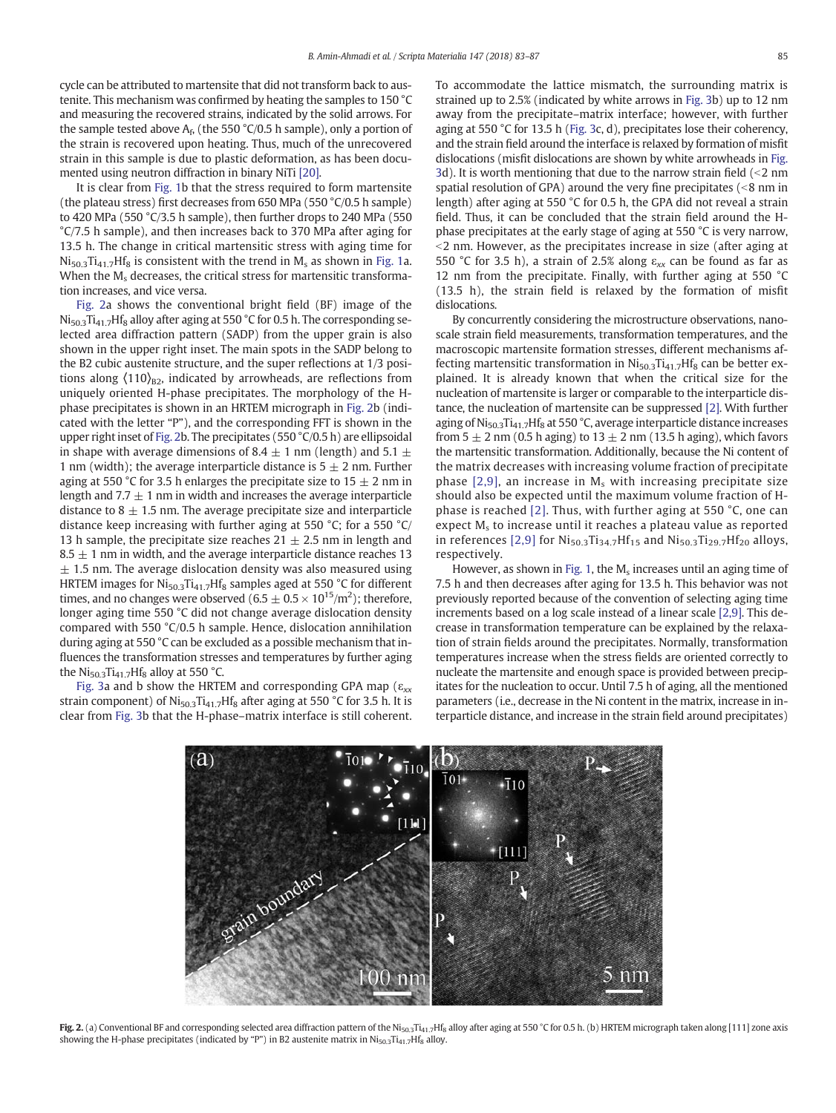cycle can be attributed to martensite that did not transform back to austenite. This mechanism was confirmed by heating the samples to 150 °C and measuring the recovered strains, indicated by the solid arrows. For the sample tested above  $A_f$ , (the 550 °C/0.5 h sample), only a portion of the strain is recovered upon heating. Thus, much of the unrecovered strain in this sample is due to plastic deformation, as has been documented using neutron diffraction in binary NiTi [\[20\]](#page-4-0).

It is clear from [Fig. 1](#page-1-0)b that the stress required to form martensite (the plateau stress) first decreases from 650 MPa (550 °C/0.5 h sample) to 420 MPa (550 °C/3.5 h sample), then further drops to 240 MPa (550 °C/7.5 h sample), and then increases back to 370 MPa after aging for 13.5 h. The change in critical martensitic stress with aging time for  $Ni<sub>50.3</sub>Ti<sub>41.7</sub>H<sub>8</sub>$  is consistent with the trend in  $M<sub>s</sub>$  as shown in [Fig. 1a](#page-1-0). When the  $M_s$  decreases, the critical stress for martensitic transformation increases, and vice versa.

Fig. 2a shows the conventional bright field (BF) image of the  $Ni_{50.3}Ti_{41.7}Hf_8$  alloy after aging at 550 °C for 0.5 h. The corresponding selected area diffraction pattern (SADP) from the upper grain is also shown in the upper right inset. The main spots in the SADP belong to the B2 cubic austenite structure, and the super reflections at 1/3 positions along  $\langle 110 \rangle_{B2}$ , indicated by arrowheads, are reflections from uniquely oriented H-phase precipitates. The morphology of the Hphase precipitates is shown in an HRTEM micrograph in Fig. 2b (indicated with the letter "P"), and the corresponding FFT is shown in the upper right inset of Fig. 2b. The precipitates (550 °C/0.5 h) are ellipsoidal in shape with average dimensions of 8.4  $\pm$  1 nm (length) and 5.1  $\pm$ 1 nm (width); the average interparticle distance is  $5 \pm 2$  nm. Further aging at 550 °C for 3.5 h enlarges the precipitate size to 15  $\pm$  2 nm in length and  $7.7 \pm 1$  nm in width and increases the average interparticle distance to 8  $\pm$  1.5 nm. The average precipitate size and interparticle distance keep increasing with further aging at 550 °C; for a 550 °C/ 13 h sample, the precipitate size reaches  $21 \pm 2.5$  nm in length and  $8.5 \pm 1$  nm in width, and the average interparticle distance reaches 13  $\pm$  1.5 nm. The average dislocation density was also measured using HRTEM images for  $Ni<sub>50.3</sub>Ti<sub>41.7</sub>Hf<sub>8</sub>$  samples aged at 550 °C for different times, and no changes were observed (6.5  $\pm$  0.5  $\times$  10<sup>15</sup>/m<sup>2</sup>); therefore, longer aging time 550 °C did not change average dislocation density compared with 550 °C/0.5 h sample. Hence, dislocation annihilation during aging at 550 °C can be excluded as a possible mechanism that influences the transformation stresses and temperatures by further aging the  $Ni<sub>50.3</sub>Ti<sub>41.7</sub>Hf<sub>8</sub>$  alloy at 550 °C.

[Fig. 3](#page-3-0)a and b show the HRTEM and corresponding GPA map ( $\varepsilon_{xx}$ ) strain component) of  $N$ i<sub>50.3</sub>Ti<sub>41.7</sub>Hf<sub>8</sub> after aging at 550 °C for 3.5 h. It is clear from [Fig. 3b](#page-3-0) that the H-phase–matrix interface is still coherent. To accommodate the lattice mismatch, the surrounding matrix is strained up to 2.5% (indicated by white arrows in [Fig. 3](#page-3-0)b) up to 12 nm away from the precipitate–matrix interface; however, with further aging at 550 °C for 13.5 h [\(Fig. 3c](#page-3-0), d), precipitates lose their coherency, and the strain field around the interface is relaxed by formation of misfit dislocations (misfit dislocations are shown by white arrowheads in [Fig.](#page-3-0) [3d](#page-3-0)). It is worth mentioning that due to the narrow strain field  $\left($  < 2 nm spatial resolution of GPA) around the very fine precipitates  $\left($  <8 nm in length) after aging at 550 °C for 0.5 h, the GPA did not reveal a strain field. Thus, it can be concluded that the strain field around the Hphase precipitates at the early stage of aging at 550 °C is very narrow,  $<$ 2 nm. However, as the precipitates increase in size (after aging at 550 °C for 3.5 h), a strain of 2.5% along  $\varepsilon_{xx}$  can be found as far as 12 nm from the precipitate. Finally, with further aging at 550 °C (13.5 h), the strain field is relaxed by the formation of misfit dislocations.

By concurrently considering the microstructure observations, nanoscale strain field measurements, transformation temperatures, and the macroscopic martensite formation stresses, different mechanisms affecting martensitic transformation in  $N$ i<sub>50.3</sub>Ti<sub>41.7</sub>Hf<sub>8</sub> can be better explained. It is already known that when the critical size for the nucleation of martensite is larger or comparable to the interparticle distance, the nucleation of martensite can be suppressed [\[2\].](#page-3-0) With further aging of  $Ni<sub>50.3</sub>Ti<sub>41.7</sub>Hf<sub>8</sub>$  at 550 °C, average interparticle distance increases from  $5 \pm 2$  nm (0.5 h aging) to  $13 \pm 2$  nm (13.5 h aging), which favors the martensitic transformation. Additionally, because the Ni content of the matrix decreases with increasing volume fraction of precipitate phase  $[2,9]$ , an increase in  $M_s$  with increasing precipitate size should also be expected until the maximum volume fraction of Hphase is reached [\[2\]](#page-3-0). Thus, with further aging at 550 °C, one can expect  $M_s$  to increase until it reaches a plateau value as reported in references [\[2,9\]](#page-3-0) for  $Ni_{50.3}Ti_{34.7}Hf_{15}$  and  $Ni_{50.3}Ti_{29.7}Hf_{20}$  alloys, respectively.

However, as shown in [Fig. 1,](#page-1-0) the  $M_s$  increases until an aging time of 7.5 h and then decreases after aging for 13.5 h. This behavior was not previously reported because of the convention of selecting aging time increments based on a log scale instead of a linear scale [\[2,9\].](#page-3-0) This decrease in transformation temperature can be explained by the relaxation of strain fields around the precipitates. Normally, transformation temperatures increase when the stress fields are oriented correctly to nucleate the martensite and enough space is provided between precipitates for the nucleation to occur. Until 7.5 h of aging, all the mentioned parameters (i.e., decrease in the Ni content in the matrix, increase in interparticle distance, and increase in the strain field around precipitates)



Fig. 2. (a) Conventional BF and corresponding selected area diffraction pattern of the Ni<sub>50.3</sub>Ti<sub>41.7</sub>Hf<sub>8</sub> alloy after aging at 550 °C for 0.5 h. (b) HRTEM micrograph taken along [111] zone axis showing the H-phase precipitates (indicated by "P") in B2 austenite matrix in Ni<sub>50.3</sub>Ti<sub>41.7</sub>Hf<sub>8</sub> alloy.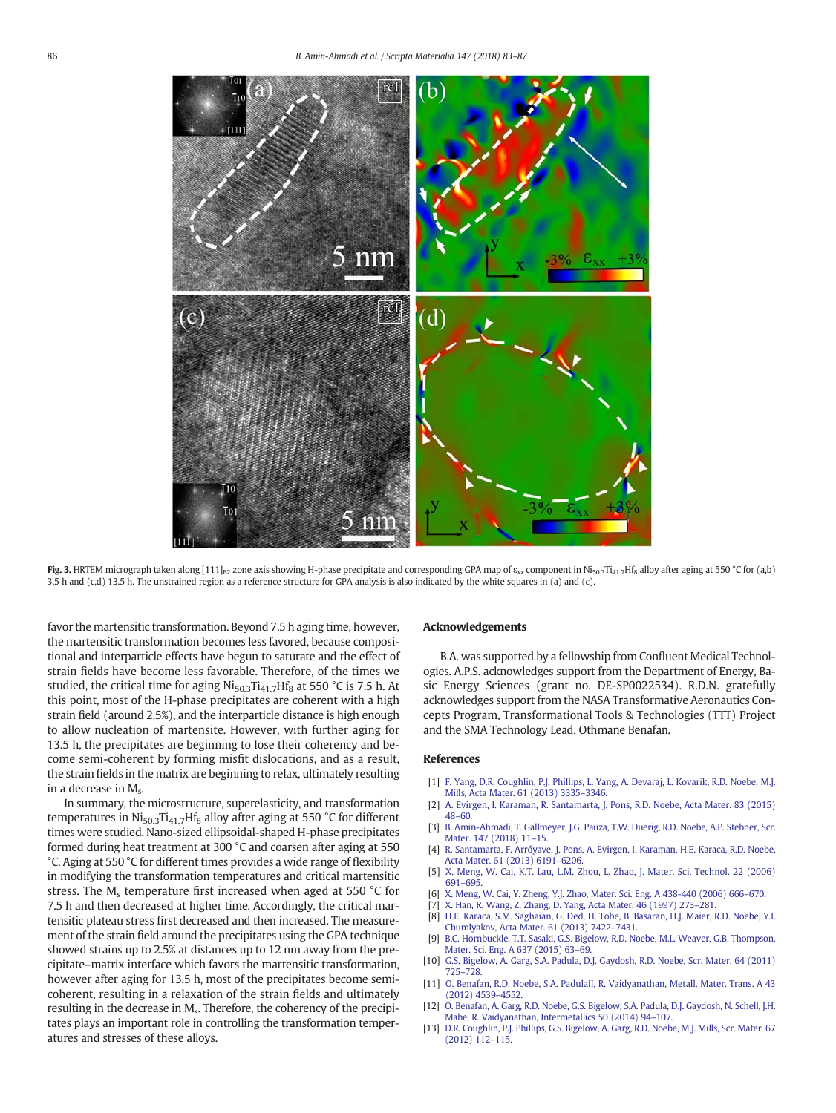<span id="page-3-0"></span>

Fig. 3. HRTEM micrograph taken along [111]<sub>B2</sub> zone axis showing H-phase precipitate and corresponding GPA map of  $\varepsilon_{xx}$  component in Ni<sub>50.3</sub>Ti<sub>41.7</sub>Hf<sub>8</sub> alloy after aging at 550 °C for (a,b) 3.5 h and (c,d) 13.5 h. The unstrained region as a reference structure for GPA analysis is also indicated by the white squares in (a) and (c).

favor the martensitic transformation. Beyond 7.5 h aging time, however, the martensitic transformation becomes less favored, because compositional and interparticle effects have begun to saturate and the effect of strain fields have become less favorable. Therefore, of the times we studied, the critical time for aging  $Ni_{50.3}Ti_{41.7}Hf_8$  at 550 °C is 7.5 h. At this point, most of the H-phase precipitates are coherent with a high strain field (around 2.5%), and the interparticle distance is high enough to allow nucleation of martensite. However, with further aging for 13.5 h, the precipitates are beginning to lose their coherency and become semi-coherent by forming misfit dislocations, and as a result, the strain fields in the matrix are beginning to relax, ultimately resulting in a decrease in M<sub>s</sub>.

In summary, the microstructure, superelasticity, and transformation temperatures in  $Ni<sub>50.3</sub>Ti<sub>41.7</sub>H<sub>8</sub>$  alloy after aging at 550 °C for different times were studied. Nano-sized ellipsoidal-shaped H-phase precipitates formed during heat treatment at 300 °C and coarsen after aging at 550 °C. Aging at 550 °C for different times provides a wide range of flexibility in modifying the transformation temperatures and critical martensitic stress. The  $M_s$  temperature first increased when aged at 550 °C for 7.5 h and then decreased at higher time. Accordingly, the critical martensitic plateau stress first decreased and then increased. The measurement of the strain field around the precipitates using the GPA technique showed strains up to 2.5% at distances up to 12 nm away from the precipitate–matrix interface which favors the martensitic transformation, however after aging for 13.5 h, most of the precipitates become semicoherent, resulting in a relaxation of the strain fields and ultimately resulting in the decrease in M<sub>s</sub>. Therefore, the coherency of the precipitates plays an important role in controlling the transformation temperatures and stresses of these alloys.

#### Acknowledgements

B.A. was supported by a fellowship from Confluent Medical Technologies. A.P.S. acknowledges support from the Department of Energy, Basic Energy Sciences (grant no. DE-SP0022534). R.D.N. gratefully acknowledges support from the NASA Transformative Aeronautics Concepts Program, Transformational Tools & Technologies (TTT) Project and the SMA Technology Lead, Othmane Benafan.

#### References

- [1] [F. Yang, D.R. Coughlin, P.J. Phillips, L. Yang, A. Devaraj, L. Kovarik, R.D. Noebe, M.J.](http://refhub.elsevier.com/S1359-6462(18)30008-3/rf0005) [Mills, Acta Mater. 61 \(2013\) 3335](http://refhub.elsevier.com/S1359-6462(18)30008-3/rf0005)–3346.
- [2] [A. Evirgen, I. Karaman, R. Santamarta, J. Pons, R.D. Noebe, Acta Mater. 83 \(2015\)](http://refhub.elsevier.com/S1359-6462(18)30008-3/rf0010) [48](http://refhub.elsevier.com/S1359-6462(18)30008-3/rf0010)–60.
- [3] [B. Amin-Ahmadi, T. Gallmeyer, J.G. Pauza, T.W. Duerig, R.D. Noebe, A.P. Stebner, Scr.](http://refhub.elsevier.com/S1359-6462(18)30008-3/rf0015) [Mater. 147 \(2018\) 11](http://refhub.elsevier.com/S1359-6462(18)30008-3/rf0015)–15.
- [4] [R. Santamarta, F. Arróyave, J. Pons, A. Evirgen, I. Karaman, H.E. Karaca, R.D. Noebe,](http://refhub.elsevier.com/S1359-6462(18)30008-3/rf0020) [Acta Mater. 61 \(2013\) 6191](http://refhub.elsevier.com/S1359-6462(18)30008-3/rf0020)–6206.
- [5] [X. Meng, W. Cai, K.T. Lau, L.M. Zhou, L. Zhao, J. Mater. Sci. Technol. 22 \(2006\)](http://refhub.elsevier.com/S1359-6462(18)30008-3/rf0025) [691](http://refhub.elsevier.com/S1359-6462(18)30008-3/rf0025)–695.
- [6] [X. Meng, W. Cai, Y. Zheng, Y.J. Zhao, Mater. Sci. Eng. A 438-440 \(2006\) 666](http://refhub.elsevier.com/S1359-6462(18)30008-3/rf0030)–670.
- [7] [X. Han, R. Wang, Z. Zhang, D. Yang, Acta Mater. 46 \(1997\) 273](http://refhub.elsevier.com/S1359-6462(18)30008-3/rf0035)–281.
- [8] [H.E. Karaca, S.M. Saghaian, G. Ded, H. Tobe, B. Basaran, H.J. Maier, R.D. Noebe, Y.I.](http://refhub.elsevier.com/S1359-6462(18)30008-3/rf0040) [Chumlyakov, Acta Mater. 61 \(2013\) 7422](http://refhub.elsevier.com/S1359-6462(18)30008-3/rf0040)–7431.
- [9] [B.C. Hornbuckle, T.T. Sasaki, G.S. Bigelow, R.D. Noebe, M.L. Weaver, G.B. Thompson,](http://refhub.elsevier.com/S1359-6462(18)30008-3/rf0045) [Mater. Sci. Eng. A 637 \(2015\) 63](http://refhub.elsevier.com/S1359-6462(18)30008-3/rf0045)–69.
- [10] [G.S. Bigelow, A. Garg, S.A. Padula, D.J. Gaydosh, R.D. Noebe, Scr. Mater. 64 \(2011\)](http://refhub.elsevier.com/S1359-6462(18)30008-3/rf0050) [725](http://refhub.elsevier.com/S1359-6462(18)30008-3/rf0050)–728.
- [11] [O. Benafan, R.D. Noebe, S.A. PadulaII, R. Vaidyanathan, Metall. Mater. Trans. A 43](http://refhub.elsevier.com/S1359-6462(18)30008-3/rf0055) [\(2012\) 4539](http://refhub.elsevier.com/S1359-6462(18)30008-3/rf0055)–4552.
- [12] [O. Benafan, A. Garg, R.D. Noebe, G.S. Bigelow, S.A. Padula, D.J. Gaydosh, N. Schell, J.H.](http://refhub.elsevier.com/S1359-6462(18)30008-3/rf0060) [Mabe, R. Vaidyanathan, Intermetallics 50 \(2014\) 94](http://refhub.elsevier.com/S1359-6462(18)30008-3/rf0060)–107.
- [13] [D.R. Coughlin, P.J. Phillips, G.S. Bigelow, A. Garg, R.D. Noebe, M.J. Mills, Scr. Mater. 67](http://refhub.elsevier.com/S1359-6462(18)30008-3/rf0065) [\(2012\) 112](http://refhub.elsevier.com/S1359-6462(18)30008-3/rf0065)–115.